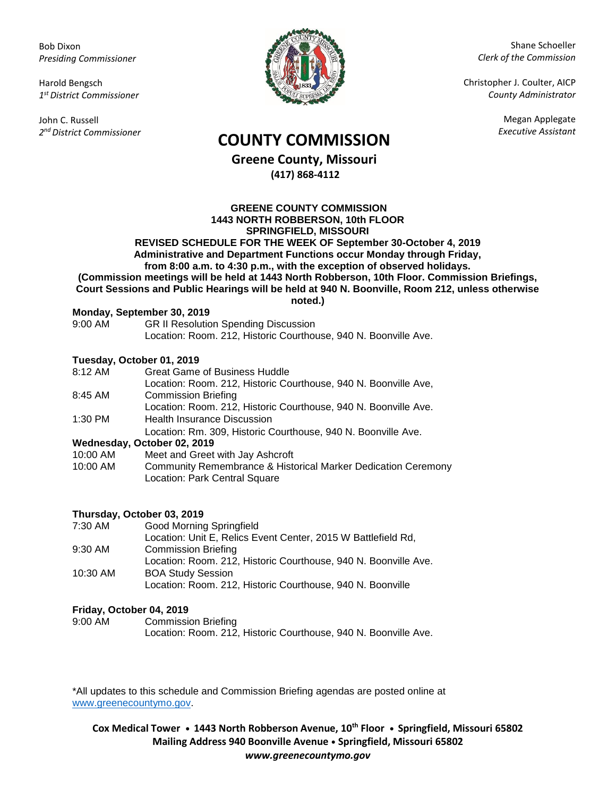Bob Dixon *Presiding Commissioner*

Harold Bengsch *1 st District Commissioner*

John C. Russell *2 nd District Commissioner*



Shane Schoeller *Clerk of the Commission*

Christopher J. Coulter, AICP *County Administrator*

Megan Applegate

# *Executive Assistant* **COUNTY COMMISSION**

**Greene County, Missouri (417) 868-4112**

**GREENE COUNTY COMMISSION 1443 NORTH ROBBERSON, 10th FLOOR SPRINGFIELD, MISSOURI REVISED SCHEDULE FOR THE WEEK OF September 30-October 4, 2019 Administrative and Department Functions occur Monday through Friday, from 8:00 a.m. to 4:30 p.m., with the exception of observed holidays. (Commission meetings will be held at 1443 North Robberson, 10th Floor. Commission Briefings, Court Sessions and Public Hearings will be held at 940 N. Boonville, Room 212, unless otherwise noted.)**

#### **Monday, September 30, 2019**

| 9:00 AM | <b>GR II Resolution Spending Discussion</b>                     |
|---------|-----------------------------------------------------------------|
|         | Location: Room. 212, Historic Courthouse, 940 N. Boonville Ave. |

## **Tuesday, October 01, 2019**

| 8:12 AM  | <b>Great Game of Business Huddle</b>                                                           |
|----------|------------------------------------------------------------------------------------------------|
|          | Location: Room. 212, Historic Courthouse, 940 N. Boonville Ave,                                |
| 8:45 AM  | <b>Commission Briefing</b>                                                                     |
|          | Location: Room. 212, Historic Courthouse, 940 N. Boonville Ave.                                |
| 1:30 PM  | <b>Health Insurance Discussion</b>                                                             |
|          | Location: Rm. 309, Historic Courthouse, 940 N. Boonville Ave.                                  |
|          | Wednesday, October 02, 2019                                                                    |
| 10:00 AM | Meet and Greet with Jay Ashcroft                                                               |
| 10:00 AM | Community Remembrance & Historical Marker Dedication Ceremony<br>Location: Park Central Square |
|          |                                                                                                |

## **Thursday, October 03, 2019**

| 7:30 AM   | Good Morning Springfield                                        |
|-----------|-----------------------------------------------------------------|
|           | Location: Unit E, Relics Event Center, 2015 W Battlefield Rd,   |
| $9:30$ AM | <b>Commission Briefing</b>                                      |
|           | Location: Room. 212, Historic Courthouse, 940 N. Boonville Ave. |
| 10:30 AM  | <b>BOA Study Session</b>                                        |
|           | Location: Room. 212, Historic Courthouse, 940 N. Boonville      |

#### **Friday, October 04, 2019**

| 9:00 AM | <b>Commission Briefing</b>                                      |
|---------|-----------------------------------------------------------------|
|         | Location: Room. 212, Historic Courthouse, 940 N. Boonville Ave. |

\*All updates to this schedule and Commission Briefing agendas are posted online at [www.greenecountymo.gov.](http://www.greenecountymo.gov/)

**Cox Medical Tower • 1443 North Robberson Avenue, 10th Floor • Springfield, Missouri 65802 Mailing Address 940 Boonville Avenue • Springfield, Missouri 65802** *www.greenecountymo.gov*